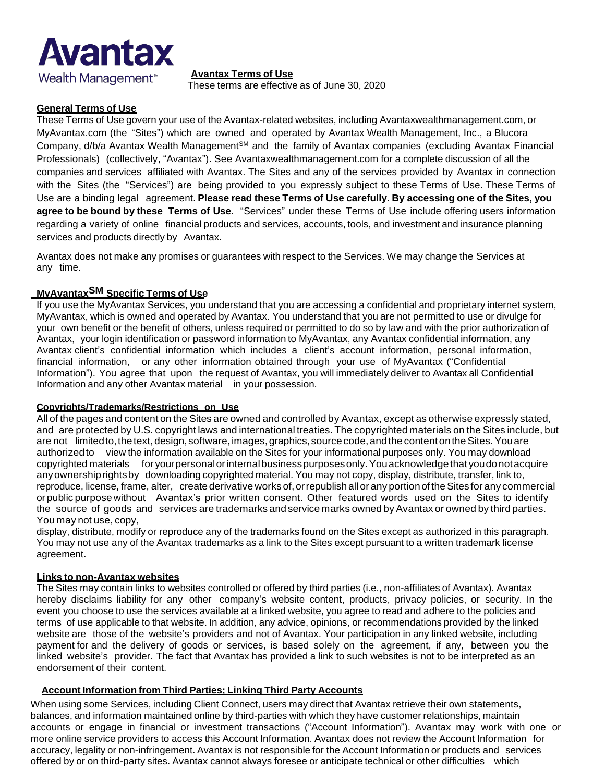**Avantax Terms of Use**

These terms are effective as of June 30, 2020

# **General Terms of Use**

**Avantax** 

Wealth Management<sup>\*</sup>

These Terms of Use govern your use of the Avantax-related websites, including Avantaxwealthmanagement.com, or MyAvantax.com (the "Sites") which are owned and operated by Avantax Wealth Management, Inc., a Blucora Company, d/b/a Avantax Wealth Management<sup>sM</sup> and the family of Avantax companies (excluding Avantax Financial Professionals) (collectively, "Avantax"). See Avantaxwealthmanagement.com for a complete discussion of all the companies and services affiliated with Avantax. The Sites and any of the services provided by Avantax in connection with the Sites (the "Services") are being provided to you expressly subject to these Terms of Use. These Terms of Use are a binding legal agreement. **Please read these Terms of Use carefully. By accessing one of the Sites, you agree to be bound by these Terms of Use.** "Services" under these Terms of Use include offering users information regarding a variety of online financial products and services, accounts, tools, and investment and insurance planning services and products directly by Avantax.

Avantax does not make any promises or guarantees with respect to the Services. We may change the Services at any time.

# **MyAvantaxSM Specific Terms of Use**

If you use the MyAvantax Services, you understand that you are accessing a confidential and proprietary internet system, MyAvantax, which is owned and operated by Avantax. You understand that you are not permitted to use or divulge for your own benefit or the benefit of others, unless required or permitted to do so by law and with the prior authorization of Avantax, your login identification or password information to MyAvantax, any Avantax confidential information, any Avantax client's confidential information which includes a client's account information, personal information, financial information, or any other information obtained through your use of MyAvantax ("Confidential Information"). You agree that upon the request of Avantax, you will immediately deliver to Avantax all Confidential Information and any other Avantax material in your possession.

## **Copyrights/Trademarks/Restrictions on Use**

All of the pages and content on the Sites are owned and controlled by Avantax, except as otherwise expressly stated, and are protected by U.S. copyright laws and international treaties. The copyrighted materials on the Sites include, but are not limitedto, the text, design, software, images, graphics, source code, and the content on the Sites. You are authorizedto view the information available on the Sites for your informational purposes only. You may download copyrighted materials for yourpersonalorinternalbusinesspurposesonly.Youacknowledgethat youdonotacquire anyownershiprightsby downloading copyrighted material. You may not copy, display, distribute, transfer, link to, reproduce, license, frame, alter, create derivative works of, or republish all or any portion of the Sites for any commercial orpublic purposewithout Avantax's prior written consent. Other featured words used on the Sites to identify the source of goods and services are trademarks and service marks owned by Avantax or owned by third parties. You may not use, copy,

display, distribute, modify or reproduce any of the trademarks found on the Sites except as authorized in this paragraph. You may not use any of the Avantax trademarks as a link to the Sites except pursuant to a written trademark license agreement.

## **Links to non-Avantax websites**

The Sites may contain links to websites controlled or offered by third parties (i.e., non-affiliates of Avantax). Avantax hereby disclaims liability for any other company's website content, products, privacy policies, or security. In the event you choose to use the services available at a linked website, you agree to read and adhere to the policies and terms of use applicable to that website. In addition, any advice, opinions, or recommendations provided by the linked website are those of the website's providers and not of Avantax. Your participation in any linked website, including payment for and the delivery of goods or services, is based solely on the agreement, if any, between you the linked website's provider. The fact that Avantax has provided a link to such websites is not to be interpreted as an endorsement of their content.

## **Account Information from Third Parties; Linking Third Party Accounts**

When using some Services, including Client Connect, users may direct that Avantax retrieve their own statements, balances, and information maintained online by third-parties with which they have customer relationships, maintain accounts or engage in financial or investment transactions ("Account Information"). Avantax may work with one or more online service providers to access this Account Information. Avantax does not review the Account Information for accuracy, legality or non-infringement. Avantax is not responsible for the Account Information or products and services offered by or on third-party sites. Avantax cannot always foresee or anticipate technical or other difficulties which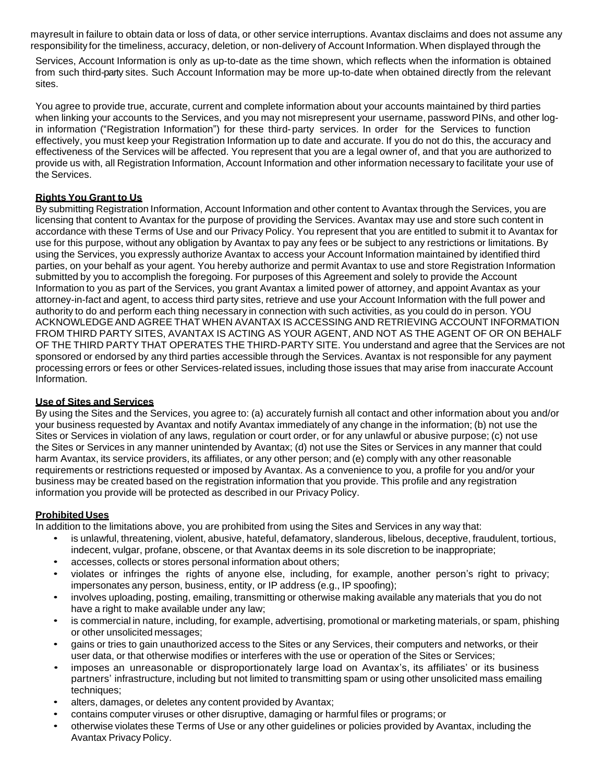mayresult in failure to obtain data or loss of data, or other service interruptions. Avantax disclaims and does not assume any responsibility for the timeliness, accuracy, deletion, or non-delivery of Account Information.When displayed through the

Services, Account Information is only as up-to-date as the time shown, which reflects when the information is obtained from such third-party sites. Such Account Information may be more up-to-date when obtained directly from the relevant sites.

You agree to provide true, accurate, current and complete information about your accounts maintained by third parties when linking your accounts to the Services, and you may not misrepresent your username, password PINs, and other login information ("Registration Information") for these third-party services. In order for the Services to function effectively, you must keep your Registration Information up to date and accurate. If you do not do this, the accuracy and effectiveness of the Services will be affected. You represent that you are a legal owner of, and that you are authorized to provide us with, all Registration Information, Account Information and other information necessary to facilitate your use of the Services.

# **Rights You Grant to Us**

By submitting Registration Information, Account Information and other content to Avantax through the Services, you are licensing that content to Avantax for the purpose of providing the Services. Avantax may use and store such content in accordance with these Terms of Use and our Privacy Policy. You represent that you are entitled to submit it to Avantax for use for this purpose, without any obligation by Avantax to pay any fees or be subject to any restrictions or limitations. By using the Services, you expressly authorize Avantax to access your Account Information maintained by identified third parties, on your behalf as your agent. You hereby authorize and permit Avantax to use and store Registration Information submitted by you to accomplish the foregoing. For purposes of this Agreement and solely to provide the Account Information to you as part of the Services, you grant Avantax a limited power of attorney, and appoint Avantax as your attorney-in-fact and agent, to access third party sites, retrieve and use your Account Information with the full power and authority to do and perform each thing necessary in connection with such activities, as you could do in person. YOU ACKNOWLEDGEAND AGREE THAT WHEN AVANTAX IS ACCESSING AND RETRIEVING ACCOUNT INFORMATION FROM THIRD PARTY SITES, AVANTAX IS ACTING AS YOUR AGENT, AND NOT AS THE AGENT OF OR ON BEHALF OF THE THIRD PARTY THAT OPERATES THE THIRD-PARTY SITE. You understand and agree that the Services are not sponsored or endorsed by any third parties accessible through the Services. Avantax is not responsible for any payment processing errors or fees or other Services-related issues, including those issues that may arise from inaccurate Account Information.

## **Use of Sites and Services**

By using the Sites and the Services, you agree to: (a) accurately furnish all contact and other information about you and/or your business requested by Avantax and notify Avantax immediately of any change in the information; (b) not use the Sites or Services in violation of any laws, regulation or court order, or for any unlawful or abusive purpose; (c) not use the Sites or Services in any manner unintended by Avantax; (d) not use the Sites or Services in any manner that could harm Avantax, its service providers, its affiliates, or any other person; and (e) comply with any other reasonable requirements or restrictions requested or imposed by Avantax. As a convenience to you, a profile for you and/or your business may be created based on the registration information that you provide. This profile and any registration information you provide will be protected as described in our Privacy Policy.

## **Prohibited Uses**

In addition to the limitations above, you are prohibited from using the Sites and Services in any way that:

- is unlawful, threatening, violent, abusive, hateful, defamatory, slanderous, libelous, deceptive, fraudulent, tortious, indecent, vulgar, profane, obscene, or that Avantax deems in its sole discretion to be inappropriate;
- accesses, collects or stores personal information about others;
- violates or infringes the rights of anyone else, including, for example, another person's right to privacy; impersonates any person, business, entity, or IP address (e.g., IP spoofing);
- involves uploading, posting, emailing, transmitting or otherwise making available any materials that you do not have a right to make available under any law;
- is commercial in nature, including, for example, advertising, promotional or marketing materials, or spam, phishing or other unsolicited messages;
- gains or tries to gain unauthorized access to the Sites or any Services, their computers and networks, or their user data, or that otherwise modifies or interferes with the use or operation of the Sites or Services;
- imposes an unreasonable or disproportionately large load on Avantax's, its affiliates' or its business partners' infrastructure, including but not limited to transmitting spam or using other unsolicited mass emailing techniques;
- alters, damages, or deletes any content provided by Avantax;
- contains computer viruses or other disruptive, damaging or harmful files or programs; or
- otherwise violates these Terms of Use or any other guidelines or policies provided by Avantax, including the Avantax Privacy Policy.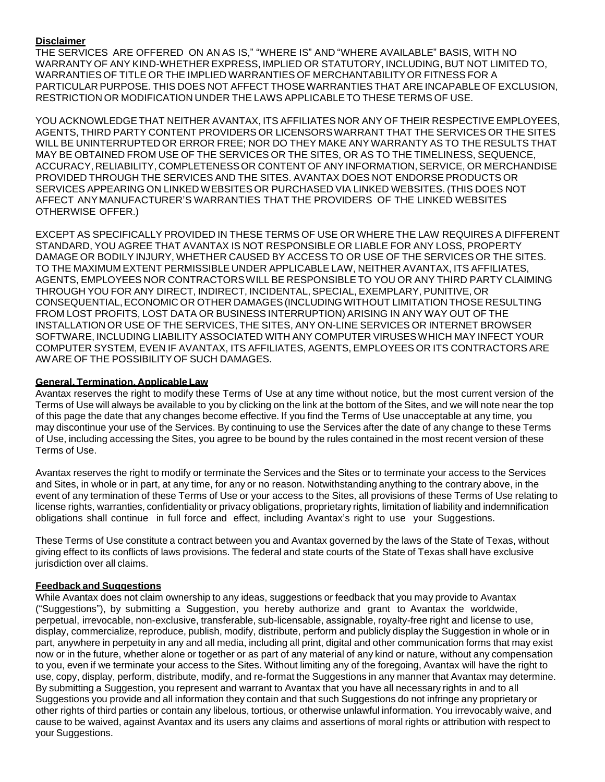# **Disclaimer**

THE SERVICES ARE OFFERED ON AN AS IS," "WHERE IS" AND "WHERE AVAILABLE" BASIS, WITH NO WARRANTY OF ANY KIND-WHETHER EXPRESS, IMPLIED OR STATUTORY, INCLUDING, BUT NOT LIMITED TO, WARRANTIES OF TITLE OR THE IMPLIED WARRANTIES OF MERCHANTABILITYOR FITNESS FOR A PARTICULAR PURPOSE. THIS DOES NOT AFFECT THOSEWARRANTIES THAT ARE INCAPABLE OF EXCLUSION, RESTRICTION OR MODIFICATION UNDER THE LAWS APPLICABLE TO THESE TERMS OF USE.

YOU ACKNOWLEDGETHAT NEITHER AVANTAX, ITS AFFILIATES NOR ANY OF THEIR RESPECTIVE EMPLOYEES, AGENTS, THIRD PARTY CONTENT PROVIDERS OR LICENSORSWARRANT THAT THE SERVICES OR THE SITES WILL BE UNINTERRUPTED OR ERROR FREE; NOR DO THEY MAKE ANY WARRANTY AS TO THE RESULTS THAT MAY BE OBTAINED FROM USE OF THE SERVICES OR THE SITES, OR AS TO THE TIMELINESS, SEQUENCE, ACCURACY, RELIABILITY, COMPLETENESS OR CONTENT OF ANY INFORMATION, SERVICE, OR MERCHANDISE PROVIDED THROUGH THE SERVICES AND THE SITES. AVANTAX DOES NOT ENDORSE PRODUCTS OR SERVICES APPEARING ON LINKED WEBSITES OR PURCHASED VIA LINKED WEBSITES. (THIS DOES NOT AFFECT ANYMANUFACTURER'S WARRANTIES THAT THE PROVIDERS OF THE LINKED WEBSITES OTHERWISE OFFER.)

EXCEPT AS SPECIFICALLY PROVIDED IN THESE TERMS OF USE OR WHERE THE LAW REQUIRES A DIFFERENT STANDARD, YOU AGREE THAT AVANTAX IS NOT RESPONSIBLE OR LIABLE FOR ANY LOSS, PROPERTY DAMAGE OR BODILY INJURY, WHETHER CAUSED BY ACCESS TO OR USE OF THE SERVICES OR THE SITES. TO THE MAXIMUM EXTENT PERMISSIBLE UNDER APPLICABLE LAW, NEITHER AVANTAX, ITS AFFILIATES, AGENTS, EMPLOYEES NOR CONTRACTORSWILL BE RESPONSIBLE TO YOU OR ANY THIRD PARTY CLAIMING THROUGH YOU FOR ANY DIRECT, INDIRECT, INCIDENTAL, SPECIAL, EXEMPLARY, PUNITIVE, OR CONSEQUENTIAL,ECONOMIC OR OTHER DAMAGES(INCLUDINGWITHOUT LIMITATION THOSE RESULTING FROM LOST PROFITS, LOST DATA OR BUSINESS INTERRUPTION) ARISING IN ANY WAY OUT OF THE INSTALLATION OR USE OF THE SERVICES, THE SITES, ANY ON-LINE SERVICES OR INTERNET BROWSER SOFTWARE, INCLUDING LIABILITY ASSOCIATED WITH ANY COMPUTER VIRUSESWHICH MAY INFECT YOUR COMPUTER SYSTEM, EVEN IF AVANTAX, ITS AFFILIATES, AGENTS, EMPLOYEES OR ITS CONTRACTORS ARE AWARE OF THE POSSIBILITY OF SUCH DAMAGES.

## **General, Termination, Applicable Law**

Avantax reserves the right to modify these Terms of Use at any time without notice, but the most current version of the Terms of Use will always be available to you by clicking on the link at the bottom of the Sites, and we will note near the top of this page the date that any changes become effective. If you find the Terms of Use unacceptable at any time, you may discontinue your use of the Services. By continuing to use the Services after the date of any change to these Terms of Use, including accessing the Sites, you agree to be bound by the rules contained in the most recent version of these Terms of Use.

Avantax reserves the right to modify or terminate the Services and the Sites or to terminate your access to the Services and Sites, in whole or in part, at any time, for any or no reason. Notwithstanding anything to the contrary above, in the event of any termination of these Terms of Use or your access to the Sites, all provisions of these Terms of Use relating to license rights, warranties, confidentiality or privacy obligations, proprietary rights, limitation of liability and indemnification obligations shall continue in full force and effect, including Avantax's right to use your Suggestions.

These Terms of Use constitute a contract between you and Avantax governed by the laws of the State of Texas, without giving effect to its conflicts of laws provisions. The federal and state courts of the State of Texas shall have exclusive jurisdiction over all claims.

## **Feedback and Suggestions**

While Avantax does not claim ownership to any ideas, suggestions or feedback that you may provide to Avantax ("Suggestions"), by submitting a Suggestion, you hereby authorize and grant to Avantax the worldwide, perpetual, irrevocable, non-exclusive, transferable, sub-licensable, assignable, royalty-free right and license to use, display, commercialize, reproduce, publish, modify, distribute, perform and publicly display the Suggestion in whole or in part, anywhere in perpetuity in any and all media, including all print, digital and other communication forms that may exist now or in the future, whether alone or together or as part of any material of any kind or nature, without any compensation to you, even if we terminate your access to the Sites. Without limiting any of the foregoing, Avantax will have the right to use, copy, display, perform, distribute, modify, and re-format the Suggestions in any manner that Avantax may determine. By submitting a Suggestion, you represent and warrant to Avantax that you have all necessary rights in and to all Suggestions you provide and all information they contain and that such Suggestions do not infringe any proprietary or other rights of third parties or contain any libelous, tortious, or otherwise unlawful information. You irrevocably waive, and cause to be waived, against Avantax and its users any claims and assertions of moral rights or attribution with respect to your Suggestions.